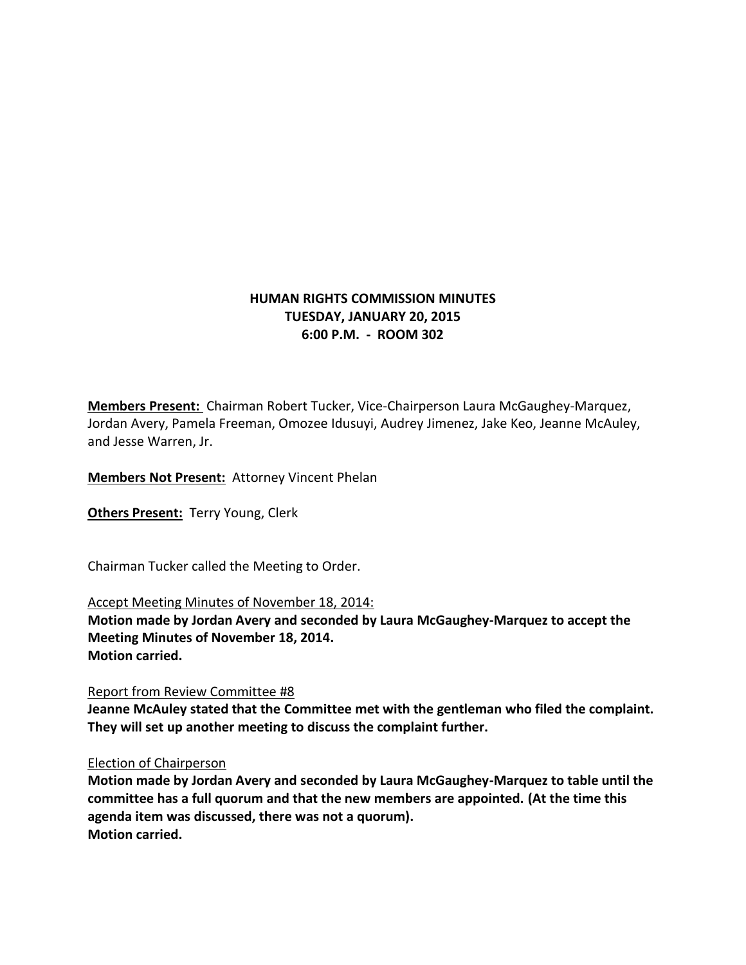# **HUMAN RIGHTS COMMISSION MINUTES TUESDAY, JANUARY 20, 2015 6:00 P.M. - ROOM 302**

**Members Present:** Chairman Robert Tucker, Vice-Chairperson Laura McGaughey-Marquez, Jordan Avery, Pamela Freeman, Omozee Idusuyi, Audrey Jimenez, Jake Keo, Jeanne McAuley, and Jesse Warren, Jr.

**Members Not Present:** Attorney Vincent Phelan

**Others Present:** Terry Young, Clerk

Chairman Tucker called the Meeting to Order.

Accept Meeting Minutes of November 18, 2014: **Motion made by Jordan Avery and seconded by Laura McGaughey-Marquez to accept the Meeting Minutes of November 18, 2014.**

**Motion carried.**

Report from Review Committee #8

**Jeanne McAuley stated that the Committee met with the gentleman who filed the complaint. They will set up another meeting to discuss the complaint further.**

## Election of Chairperson

**Motion made by Jordan Avery and seconded by Laura McGaughey-Marquez to table until the committee has a full quorum and that the new members are appointed. (At the time this agenda item was discussed, there was not a quorum). Motion carried.**